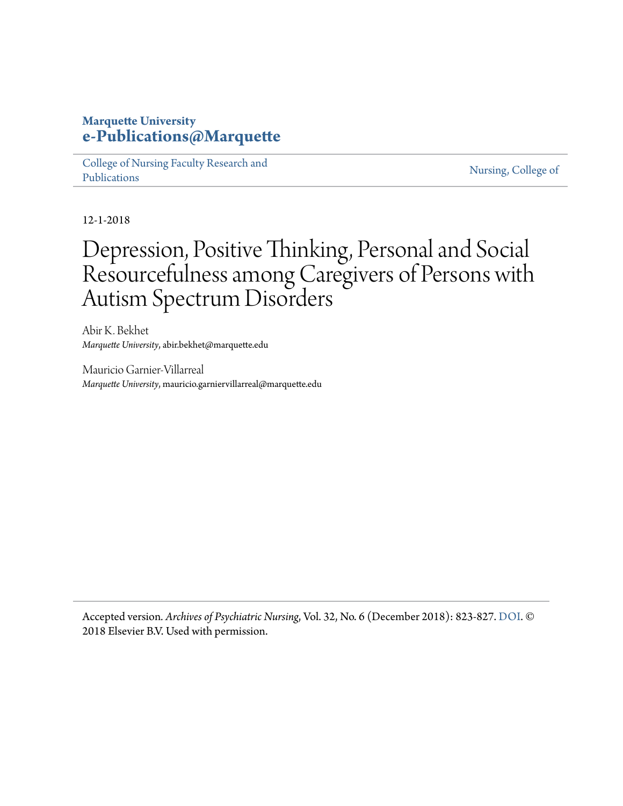#### **Marquette University [e-Publications@Marquette](https://epublications.marquette.edu)**

[College of Nursing Faculty Research and](https://epublications.marquette.edu/nursing_fac) [Publications](https://epublications.marquette.edu/nursing_fac)

[Nursing, College of](https://epublications.marquette.edu/nursing)

12-1-2018

# Depression, Positive Thinking, Personal and Social Resourcefulness among Caregivers of Persons with Autism Spectrum Disorders

Abir K. Bekhet *Marquette University*, abir.bekhet@marquette.edu

Mauricio Garnier-Villarreal *Marquette University*, mauricio.garniervillarreal@marquette.edu

Accepted version*. Archives of Psychiatric Nursing*, Vol. 32, No. 6 (December 2018): 823-827. [DOI.](https://doi.org/10.1016/j.apnu.2018.06.006) © 2018 Elsevier B.V. Used with permission.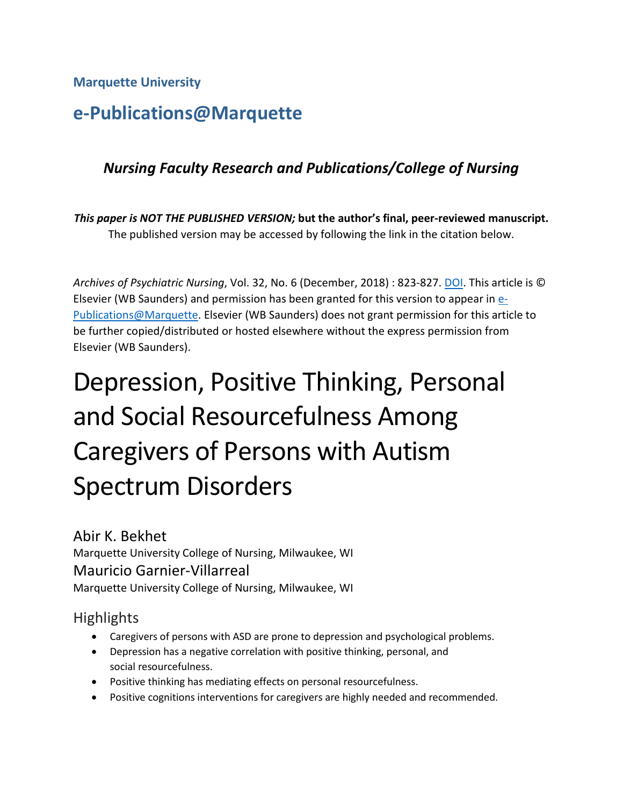**Marquette University**

# **e-Publications@Marquette**

# *Nursing Faculty Research and Publications/College of Nursing*

*This paper is NOT THE PUBLISHED VERSION;* **but the author's final, peer-reviewed manuscript.**  The published version may be accessed by following the link in the citation below.

*Archives of Psychiatric Nursing*, Vol. 32, No. 6 (December, 2018) : 823-827. [DOI.](https://doi.org/10.1016/j.apnu.2018.06.006) This article is © Elsevier (WB Saunders) and permission has been granted for this version to appear in [e-](http://epublications.marquette.edu/)[Publications@Marquette.](http://epublications.marquette.edu/) Elsevier (WB Saunders) does not grant permission for this article to be further copied/distributed or hosted elsewhere without the express permission from Elsevier (WB Saunders).

# Depression, Positive Thinking, Personal and Social Resourcefulness Among Caregivers of Persons with Autism Spectrum Disorders

Abir K. Bekhet Marquette University College of Nursing, Milwaukee, WI Mauricio Garnier-Villarreal Marquette University College of Nursing, Milwaukee, WI

**Highlights** 

- Caregivers of persons with ASD are prone to depression and psychological problems.
- Depression has a negative correlation with positive thinking, personal, and social resourcefulness.
- Positive thinking has mediating effects on personal resourcefulness.
- Positive cognitions interventions for caregivers are highly needed and recommended.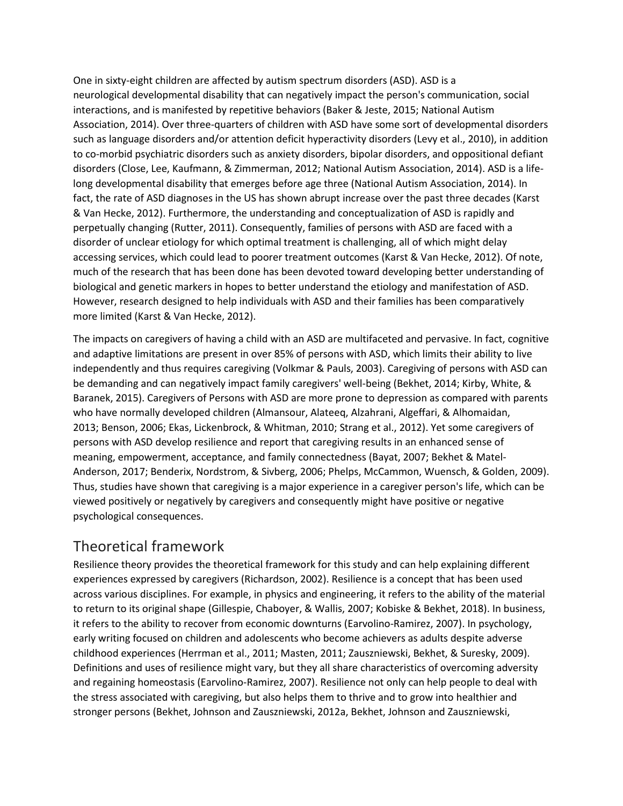One in sixty-eight children are affected by autism spectrum disorders (ASD). ASD is a neurological developmental disability that can negatively impact the person's communication, social interactions, and is manifested by repetitive behaviors (Baker & Jeste, 2015; National Autism Association, 2014). Over three-quarters of children with ASD have some sort of developmental disorders such as language disorders and/or attention deficit hyperactivity disorders (Levy et al., 2010), in addition to co-morbid psychiatric disorders such as anxiety disorders, bipolar disorders, and oppositional defiant disorders (Close, Lee, Kaufmann, & Zimmerman, 2012; National Autism Association, 2014). ASD is a lifelong developmental disability that emerges before age three (National Autism Association, 2014). In fact, the rate of ASD diagnoses in the US has shown abrupt increase over the past three decades (Karst & Van Hecke, 2012). Furthermore, the understanding and conceptualization of ASD is rapidly and perpetually changing (Rutter, 2011). Consequently, families of persons with ASD are faced with a disorder of unclear etiology for which optimal treatment is challenging, all of which might delay accessing services, which could lead to poorer treatment outcomes (Karst & Van Hecke, 2012). Of note, much of the research that has been done has been devoted toward developing better understanding of biological and genetic markers in hopes to better understand the etiology and manifestation of ASD. However, research designed to help individuals with ASD and their families has been comparatively more limited (Karst & Van Hecke, 2012).

The impacts on caregivers of having a child with an ASD are multifaceted and pervasive. In fact, cognitive and adaptive limitations are present in over 85% of persons with ASD, which limits their ability to live independently and thus requires caregiving (Volkmar & Pauls, 2003). Caregiving of persons with ASD can be demanding and can negatively impact family caregivers' well-being (Bekhet, 2014; Kirby, White, & Baranek, 2015). Caregivers of Persons with ASD are more prone to depression as compared with parents who have normally developed children (Almansour, Alateeq, Alzahrani, Algeffari, & Alhomaidan, 2013; Benson, 2006; Ekas, Lickenbrock, & Whitman, 2010; Strang et al., 2012). Yet some caregivers of persons with ASD develop resilience and report that caregiving results in an enhanced sense of meaning, empowerment, acceptance, and family connectedness (Bayat, 2007; Bekhet & Matel-Anderson, 2017; Benderix, Nordstrom, & Sivberg, 2006; Phelps, McCammon, Wuensch, & Golden, 2009). Thus, studies have shown that caregiving is a major experience in a caregiver person's life, which can be viewed positively or negatively by caregivers and consequently might have positive or negative psychological consequences.

# Theoretical framework

Resilience theory provides the theoretical framework for this study and can help explaining different experiences expressed by caregivers (Richardson, 2002). Resilience is a concept that has been used across various disciplines. For example, in physics and engineering, it refers to the ability of the material to return to its original shape (Gillespie, Chaboyer, & Wallis, 2007; Kobiske & Bekhet, 2018). In business, it refers to the ability to recover from economic downturns (Earvolino-Ramirez, 2007). In psychology, early writing focused on children and adolescents who become achievers as adults despite adverse childhood experiences (Herrman et al., 2011; Masten, 2011; Zauszniewski, Bekhet, & Suresky, 2009). Definitions and uses of resilience might vary, but they all share characteristics of overcoming adversity and regaining homeostasis (Earvolino-Ramirez, 2007). Resilience not only can help people to deal with the stress associated with caregiving, but also helps them to thrive and to grow into healthier and stronger persons (Bekhet, Johnson and Zauszniewski, 2012a, Bekhet, Johnson and Zauszniewski,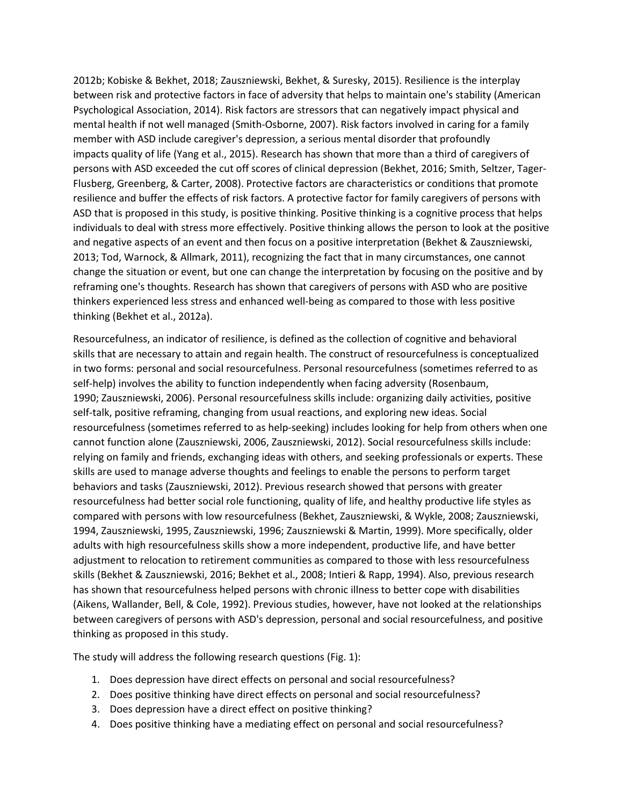2012b; Kobiske & Bekhet, 2018; Zauszniewski, Bekhet, & Suresky, 2015). Resilience is the interplay between risk and protective factors in face of adversity that helps to maintain one's stability (American Psychological Association, 2014). Risk factors are stressors that can negatively impact physical and mental health if not well managed (Smith-Osborne, 2007). Risk factors involved in caring for a family member with ASD include caregiver's depression, a serious mental disorder that profoundly impacts quality of life (Yang et al., 2015). Research has shown that more than a third of caregivers of persons with ASD exceeded the cut off scores of clinical depression (Bekhet, 2016; Smith, Seltzer, Tager-Flusberg, Greenberg, & Carter, 2008). Protective factors are characteristics or conditions that promote resilience and buffer the effects of risk factors. A protective factor for family caregivers of persons with ASD that is proposed in this study, is positive thinking. Positive thinking is a cognitive process that helps individuals to deal with stress more effectively. Positive thinking allows the person to look at the positive and negative aspects of an event and then focus on a positive interpretation (Bekhet & Zauszniewski, 2013; Tod, Warnock, & Allmark, 2011), recognizing the fact that in many circumstances, one cannot change the situation or event, but one can change the interpretation by focusing on the positive and by reframing one's thoughts. Research has shown that caregivers of persons with ASD who are positive thinkers experienced less stress and enhanced well-being as compared to those with less positive thinking (Bekhet et al., 2012a).

Resourcefulness, an indicator of resilience, is defined as the collection of cognitive and behavioral skills that are necessary to attain and regain health. The construct of resourcefulness is conceptualized in two forms: personal and social resourcefulness. Personal resourcefulness (sometimes referred to as self-help) involves the ability to function independently when facing adversity (Rosenbaum, 1990; Zauszniewski, 2006). Personal resourcefulness skills include: organizing daily activities, positive self-talk, positive reframing, changing from usual reactions, and exploring new ideas. Social resourcefulness (sometimes referred to as help-seeking) includes looking for help from others when one cannot function alone (Zauszniewski, 2006, Zauszniewski, 2012). Social resourcefulness skills include: relying on family and friends, exchanging ideas with others, and seeking professionals or experts. These skills are used to manage adverse thoughts and feelings to enable the persons to perform target behaviors and tasks (Zauszniewski, 2012). Previous research showed that persons with greater resourcefulness had better social role functioning, quality of life, and healthy productive life styles as compared with persons with low resourcefulness (Bekhet, Zauszniewski, & Wykle, 2008; Zauszniewski, 1994, Zauszniewski, 1995, Zauszniewski, 1996; Zauszniewski & Martin, 1999). More specifically, older adults with high resourcefulness skills show a more independent, productive life, and have better adjustment to relocation to retirement communities as compared to those with less resourcefulness skills (Bekhet & Zauszniewski, 2016; Bekhet et al., 2008; Intieri & Rapp, 1994). Also, previous research has shown that resourcefulness helped persons with chronic illness to better cope with disabilities (Aikens, Wallander, Bell, & Cole, 1992). Previous studies, however, have not looked at the relationships between caregivers of persons with ASD's depression, personal and social resourcefulness, and positive thinking as proposed in this study.

The study will address the following research questions (Fig. 1):

- 1. Does depression have direct effects on personal and social resourcefulness?
- 2. Does positive thinking have direct effects on personal and social resourcefulness?
- 3. Does depression have a direct effect on positive thinking?
- 4. Does positive thinking have a mediating effect on personal and social resourcefulness?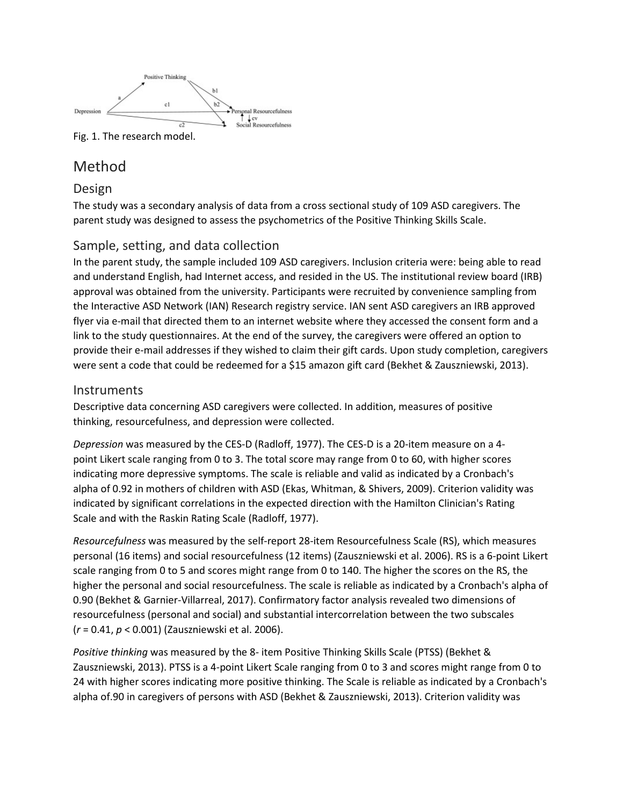

### Method

#### Design

The study was a secondary analysis of data from a cross sectional study of 109 ASD caregivers. The parent study was designed to assess the psychometrics of the Positive Thinking Skills Scale.

#### Sample, setting, and data collection

In the parent study, the sample included 109 ASD caregivers. Inclusion criteria were: being able to read and understand English, had Internet access, and resided in the US. The institutional review board (IRB) approval was obtained from the university. Participants were recruited by convenience sampling from the Interactive ASD Network (IAN) Research registry service. IAN sent ASD caregivers an IRB approved flyer via e-mail that directed them to an internet website where they accessed the consent form and a link to the study questionnaires. At the end of the survey, the caregivers were offered an option to provide their e-mail addresses if they wished to claim their gift cards. Upon study completion, caregivers were sent a code that could be redeemed for a \$15 amazon gift card (Bekhet & Zauszniewski, 2013).

#### **Instruments**

Descriptive data concerning ASD caregivers were collected. In addition, measures of positive thinking, resourcefulness, and depression were collected.

*Depression* was measured by the CES-D (Radloff, 1977). The CES-D is a 20-item measure on a 4 point Likert scale ranging from 0 to 3. The total score may range from 0 to 60, with higher scores indicating more depressive symptoms. The scale is reliable and valid as indicated by a Cronbach's alpha of 0.92 in mothers of children with ASD (Ekas, Whitman, & Shivers, 2009). Criterion validity was indicated by significant correlations in the expected direction with the Hamilton Clinician's Rating Scale and with the Raskin Rating Scale (Radloff, 1977).

*Resourcefulness* was measured by the self-report 28-item Resourcefulness Scale (RS), which measures personal (16 items) and social resourcefulness (12 items) (Zauszniewski et al. 2006). RS is a 6-point Likert scale ranging from 0 to 5 and scores might range from 0 to 140. The higher the scores on the RS, the higher the personal and social resourcefulness. The scale is reliable as indicated by a Cronbach's alpha of 0.90 (Bekhet & Garnier-Villarreal, 2017). Confirmatory factor analysis revealed two dimensions of resourcefulness (personal and social) and substantial intercorrelation between the two subscales (*r* = 0.41, *p* < 0.001) (Zauszniewski et al. 2006).

*Positive thinking* was measured by the 8- item Positive Thinking Skills Scale (PTSS) (Bekhet & Zauszniewski, 2013). PTSS is a 4-point Likert Scale ranging from 0 to 3 and scores might range from 0 to 24 with higher scores indicating more positive thinking. The Scale is reliable as indicated by a Cronbach's alpha of.90 in caregivers of persons with ASD (Bekhet & Zauszniewski, 2013). Criterion validity was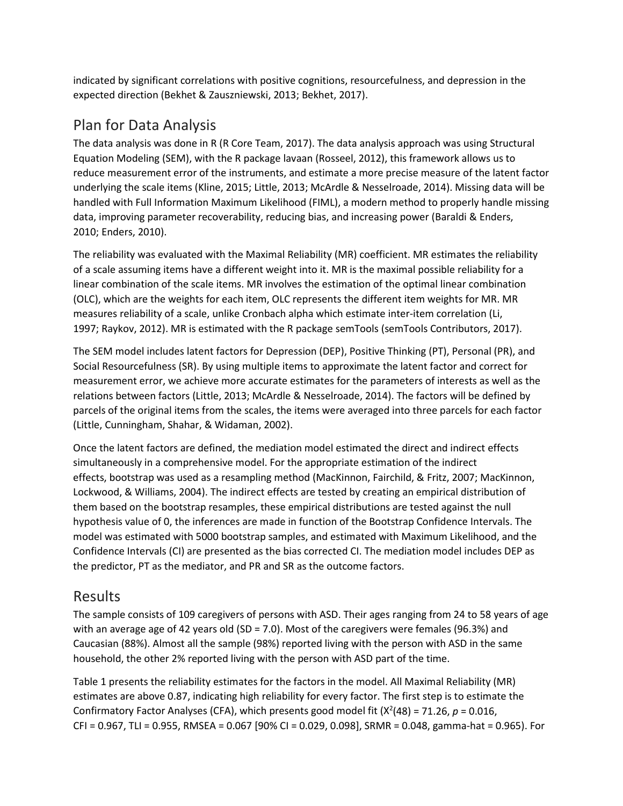indicated by significant correlations with positive cognitions, resourcefulness, and depression in the expected direction (Bekhet & Zauszniewski, 2013; Bekhet, 2017).

# Plan for Data Analysis

The data analysis was done in R (R Core Team, 2017). The data analysis approach was using Structural Equation Modeling (SEM), with the R package lavaan (Rosseel, 2012), this framework allows us to reduce measurement error of the instruments, and estimate a more precise measure of the latent factor underlying the scale items (Kline, 2015; Little, 2013; McArdle & Nesselroade, 2014). Missing data will be handled with Full Information Maximum Likelihood (FIML), a modern method to properly handle missing data, improving parameter recoverability, reducing bias, and increasing power (Baraldi & Enders, 2010; Enders, 2010).

The reliability was evaluated with the Maximal Reliability (MR) coefficient. MR estimates the reliability of a scale assuming items have a different weight into it. MR is the maximal possible reliability for a linear combination of the scale items. MR involves the estimation of the optimal linear combination (OLC), which are the weights for each item, OLC represents the different item weights for MR. MR measures reliability of a scale, unlike Cronbach alpha which estimate inter-item correlation (Li, 1997; Raykov, 2012). MR is estimated with the R package semTools (semTools Contributors, 2017).

The SEM model includes latent factors for Depression (DEP), Positive Thinking (PT), Personal (PR), and Social Resourcefulness (SR). By using multiple items to approximate the latent factor and correct for measurement error, we achieve more accurate estimates for the parameters of interests as well as the relations between factors (Little, 2013; McArdle & Nesselroade, 2014). The factors will be defined by parcels of the original items from the scales, the items were averaged into three parcels for each factor (Little, Cunningham, Shahar, & Widaman, 2002).

Once the latent factors are defined, the mediation model estimated the direct and indirect effects simultaneously in a comprehensive model. For the appropriate estimation of the indirect effects, bootstrap was used as a resampling method (MacKinnon, Fairchild, & Fritz, 2007; MacKinnon, Lockwood, & Williams, 2004). The indirect effects are tested by creating an empirical distribution of them based on the bootstrap resamples, these empirical distributions are tested against the null hypothesis value of 0, the inferences are made in function of the Bootstrap Confidence Intervals. The model was estimated with 5000 bootstrap samples, and estimated with Maximum Likelihood, and the Confidence Intervals (CI) are presented as the bias corrected CI. The mediation model includes DEP as the predictor, PT as the mediator, and PR and SR as the outcome factors.

# Results

The sample consists of 109 caregivers of persons with ASD. Their ages ranging from 24 to 58 years of age with an average age of 42 years old (SD = 7.0). Most of the caregivers were females (96.3%) and Caucasian (88%). Almost all the sample (98%) reported living with the person with ASD in the same household, the other 2% reported living with the person with ASD part of the time.

Table 1 presents the reliability estimates for the factors in the model. All Maximal Reliability (MR) estimates are above 0.87, indicating high reliability for every factor. The first step is to estimate the Confirmatory Factor Analyses (CFA), which presents good model fit (X<sup>2</sup>(48) = 71.26, p = 0.016, CFI = 0.967, TLI = 0.955, RMSEA = 0.067 [90% CI = 0.029, 0.098], SRMR = 0.048, gamma-hat = 0.965). For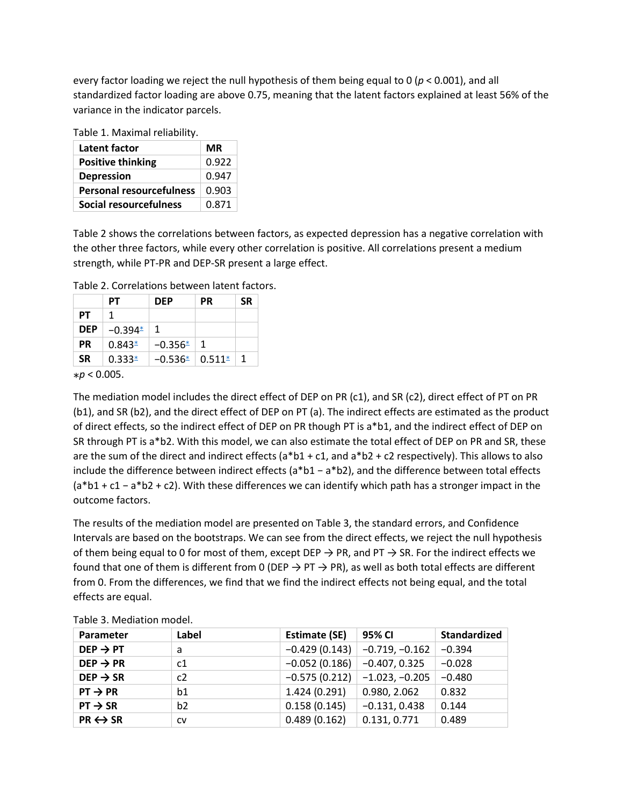every factor loading we reject the null hypothesis of them being equal to 0 (*p* < 0.001), and all standardized factor loading are above 0.75, meaning that the latent factors explained at least 56% of the variance in the indicator parcels.

Table 1. Maximal reliability.

| Latent factor                   | MR    |
|---------------------------------|-------|
| <b>Positive thinking</b>        | 0.922 |
| <b>Depression</b>               | 0.947 |
| <b>Personal resourcefulness</b> | 0.903 |
| Social resourcefulness          | 0.871 |

Table 2 shows the correlations between factors, as expected depression has a negative correlation with the other three factors, while every other correlation is positive. All correlations present a medium strength, while PT-PR and DEP-SR present a large effect.

|            | PТ        | <b>DEP</b> | <b>PR</b> | <b>SR</b> |  |
|------------|-----------|------------|-----------|-----------|--|
| PТ         | 1         |            |           |           |  |
| <b>DEP</b> | $-0.394*$ | 1          |           |           |  |
| <b>PR</b>  | $0.843*$  | $-0.356*$  | 1         |           |  |
| <b>SR</b>  | $0.333*$  | $-0.536*$  | $0.511*$  | 1         |  |

Table 2. Correlations between latent factors.

⁎*p* < 0.005.

The mediation model includes the direct effect of DEP on PR (c1), and SR (c2), direct effect of PT on PR (b1), and SR (b2), and the direct effect of DEP on PT (a). The indirect effects are estimated as the product of direct effects, so the indirect effect of DEP on PR though PT is a\*b1, and the indirect effect of DEP on SR through PT is a\*b2. With this model, we can also estimate the total effect of DEP on PR and SR, these are the sum of the direct and indirect effects (a\*b1 + c1, and a\*b2 + c2 respectively). This allows to also include the difference between indirect effects (a\*b1 − a\*b2), and the difference between total effects (a\*b1 + c1 − a\*b2 + c2). With these differences we can identify which path has a stronger impact in the outcome factors.

The results of the mediation model are presented on Table 3, the standard errors, and Confidence Intervals are based on the bootstraps. We can see from the direct effects, we reject the null hypothesis of them being equal to 0 for most of them, except DEP  $\rightarrow$  PR, and PT  $\rightarrow$  SR. For the indirect effects we found that one of them is different from 0 (DEP  $\rightarrow$  PT  $\rightarrow$  PR), as well as both total effects are different from 0. From the differences, we find that we find the indirect effects not being equal, and the total effects are equal.

| Parameter               | Label     | <b>Estimate (SE)</b> | 95% CI           | <b>Standardized</b> |
|-------------------------|-----------|----------------------|------------------|---------------------|
| $DEF \rightarrow PT$    | a         | $-0.429(0.143)$      | $-0.719, -0.162$ | $-0.394$            |
| $DEF \rightarrow PR$    | c1        | $-0.052(0.186)$      | $-0.407, 0.325$  | $-0.028$            |
| $DEF \rightarrow SR$    | c2        | $-0.575(0.212)$      | $-1.023, -0.205$ | $-0.480$            |
| $PT \rightarrow PR$     | b1        | 1.424 (0.291)        | 0.980, 2.062     | 0.832               |
| $PT \rightarrow SR$     | b2        | 0.158(0.145)         | $-0.131, 0.438$  | 0.144               |
| $PR \leftrightarrow SR$ | <b>CV</b> | 0.489(0.162)         | 0.131, 0.771     | 0.489               |

Table 3. Mediation model.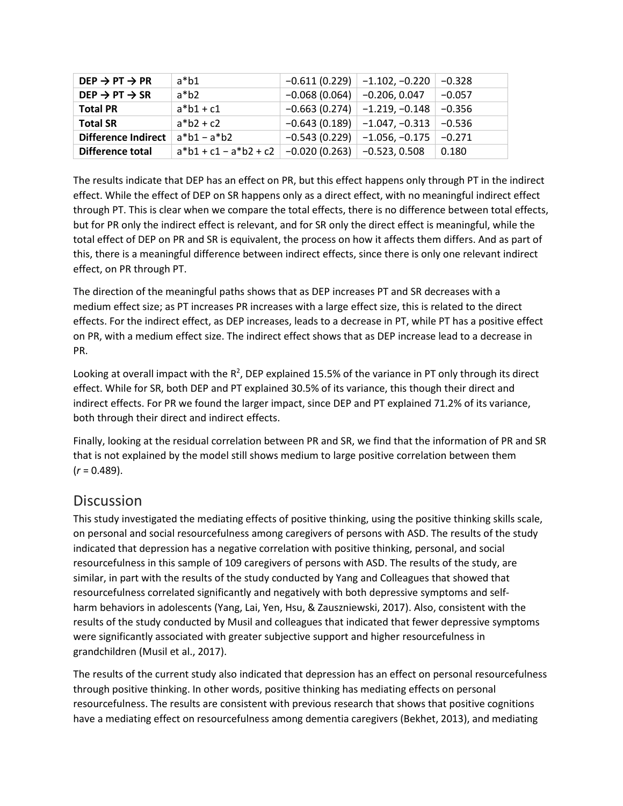| $DEF \rightarrow PT \rightarrow PR$ | $a* b1$                     |                 | $-0.611(0.229)$ -1.102, -0.220 | $-0.328$   |
|-------------------------------------|-----------------------------|-----------------|--------------------------------|------------|
| $DEF \rightarrow PT \rightarrow SR$ | $a * b2$                    | $-0.068(0.064)$ | $\vert$ -0.206, 0.047          | $  -0.057$ |
| <b>Total PR</b>                     | $a * b1 + c1$               |                 | $-0.663(0.274)$ -1.219, -0.148 | $-0.356$   |
| <b>Total SR</b>                     | $a * b2 + c2$               |                 | $-0.643(0.189)$ -1.047, -0.313 | $ -0.536 $ |
| <b>Difference Indirect</b>          | $a * b1 - a * b2$           | $-0.543(0.229)$ | $ -1.056, -0.175$              | $-0.271$   |
| Difference total                    | $a * b1 + c1 - a * b2 + c2$ | $-0.020(0.263)$ | $\vert$ -0.523, 0.508          | 0.180      |

The results indicate that DEP has an effect on PR, but this effect happens only through PT in the indirect effect. While the effect of DEP on SR happens only as a direct effect, with no meaningful indirect effect through PT. This is clear when we compare the total effects, there is no difference between total effects, but for PR only the indirect effect is relevant, and for SR only the direct effect is meaningful, while the total effect of DEP on PR and SR is equivalent, the process on how it affects them differs. And as part of this, there is a meaningful difference between indirect effects, since there is only one relevant indirect effect, on PR through PT.

The direction of the meaningful paths shows that as DEP increases PT and SR decreases with a medium effect size; as PT increases PR increases with a large effect size, this is related to the direct effects. For the indirect effect, as DEP increases, leads to a decrease in PT, while PT has a positive effect on PR, with a medium effect size. The indirect effect shows that as DEP increase lead to a decrease in PR.

Looking at overall impact with the  $R^2$ , DEP explained 15.5% of the variance in PT only through its direct effect. While for SR, both DEP and PT explained 30.5% of its variance, this though their direct and indirect effects. For PR we found the larger impact, since DEP and PT explained 71.2% of its variance, both through their direct and indirect effects.

Finally, looking at the residual correlation between PR and SR, we find that the information of PR and SR that is not explained by the model still shows medium to large positive correlation between them  $(r = 0.489)$ .

#### **Discussion**

This study investigated the mediating effects of positive thinking, using the positive thinking skills scale, on personal and social resourcefulness among caregivers of persons with ASD. The results of the study indicated that depression has a negative correlation with positive thinking, personal, and social resourcefulness in this sample of 109 caregivers of persons with ASD. The results of the study, are similar, in part with the results of the study conducted by Yang and Colleagues that showed that resourcefulness correlated significantly and negatively with both depressive symptoms and selfharm behaviors in adolescents (Yang, Lai, Yen, Hsu, & Zauszniewski, 2017). Also, consistent with the results of the study conducted by Musil and colleagues that indicated that fewer depressive symptoms were significantly associated with greater subjective support and higher resourcefulness in grandchildren (Musil et al., 2017).

The results of the current study also indicated that depression has an effect on personal resourcefulness through positive thinking. In other words, positive thinking has mediating effects on personal resourcefulness. The results are consistent with previous research that shows that positive cognitions have a mediating effect on resourcefulness among dementia caregivers (Bekhet, 2013), and mediating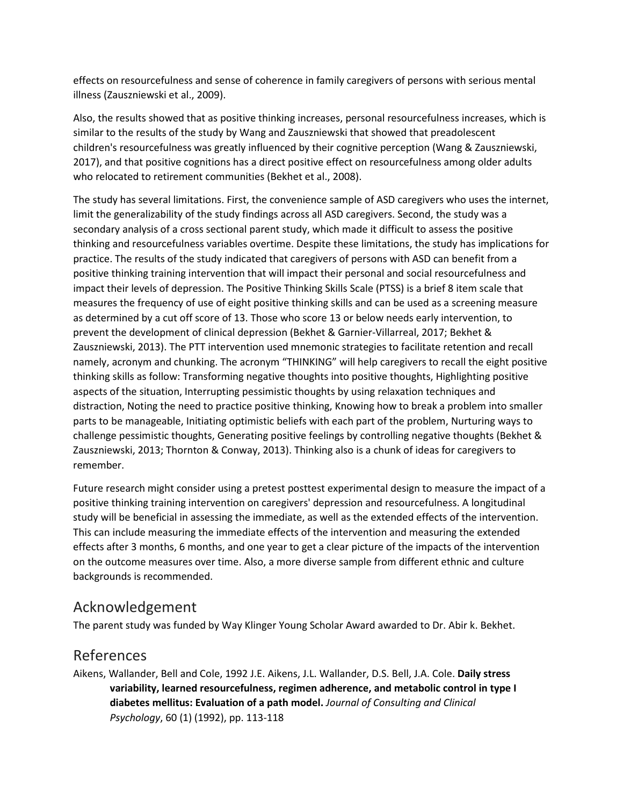effects on resourcefulness and sense of coherence in family caregivers of persons with serious mental illness (Zauszniewski et al., 2009).

Also, the results showed that as positive thinking increases, personal resourcefulness increases, which is similar to the results of the study by Wang and Zauszniewski that showed that preadolescent children's resourcefulness was greatly influenced by their cognitive perception (Wang & Zauszniewski, 2017), and that positive cognitions has a direct positive effect on resourcefulness among older adults who relocated to retirement communities (Bekhet et al., 2008).

The study has several limitations. First, the convenience sample of ASD caregivers who uses the internet, limit the generalizability of the study findings across all ASD caregivers. Second, the study was a secondary analysis of a cross sectional parent study, which made it difficult to assess the positive thinking and resourcefulness variables overtime. Despite these limitations, the study has implications for practice. The results of the study indicated that caregivers of persons with ASD can benefit from a positive thinking training intervention that will impact their personal and social resourcefulness and impact their levels of depression. The Positive Thinking Skills Scale (PTSS) is a brief 8 item scale that measures the frequency of use of eight positive thinking skills and can be used as a screening measure as determined by a cut off score of 13. Those who score 13 or below needs early intervention, to prevent the development of clinical depression (Bekhet & Garnier-Villarreal, 2017; Bekhet & Zauszniewski, 2013). The PTT intervention used mnemonic strategies to facilitate retention and recall namely, acronym and chunking. The acronym "THINKING" will help caregivers to recall the eight positive thinking skills as follow: Transforming negative thoughts into positive thoughts, Highlighting positive aspects of the situation, Interrupting pessimistic thoughts by using relaxation techniques and distraction, Noting the need to practice positive thinking, Knowing how to break a problem into smaller parts to be manageable, Initiating optimistic beliefs with each part of the problem, Nurturing ways to challenge pessimistic thoughts, Generating positive feelings by controlling negative thoughts (Bekhet & Zauszniewski, 2013; Thornton & Conway, 2013). Thinking also is a chunk of ideas for caregivers to remember.

Future research might consider using a pretest posttest experimental design to measure the impact of a positive thinking training intervention on caregivers' depression and resourcefulness. A longitudinal study will be beneficial in assessing the immediate, as well as the extended effects of the intervention. This can include measuring the immediate effects of the intervention and measuring the extended effects after 3 months, 6 months, and one year to get a clear picture of the impacts of the intervention on the outcome measures over time. Also, a more diverse sample from different ethnic and culture backgrounds is recommended.

#### Acknowledgement

The parent study was funded by Way Klinger Young Scholar Award awarded to Dr. Abir k. Bekhet.

#### References

Aikens, Wallander, Bell and Cole, 1992 J.E. Aikens, J.L. Wallander, D.S. Bell, J.A. Cole. **Daily stress variability, learned resourcefulness, regimen adherence, and metabolic control in type I diabetes mellitus: Evaluation of a path model.** *Journal of Consulting and Clinical Psychology*, 60 (1) (1992), pp. 113-118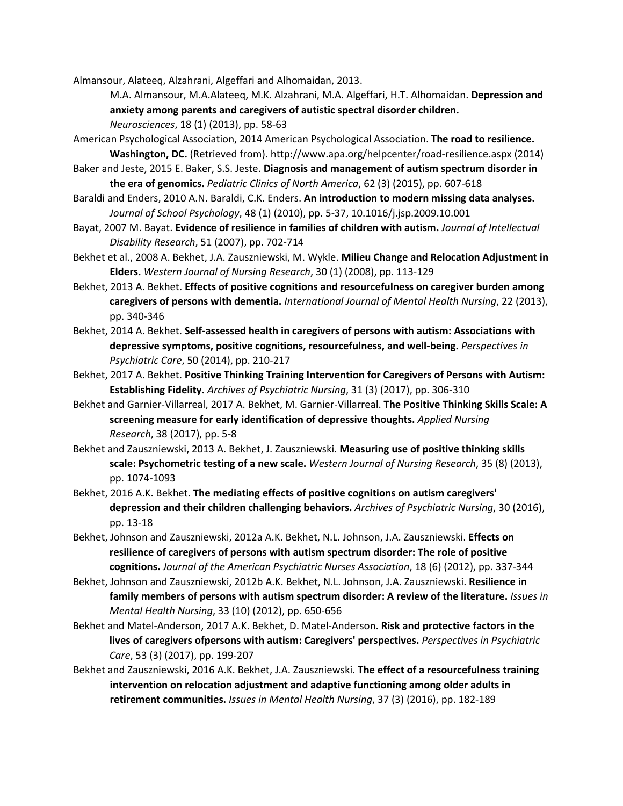Almansour, Alateeq, Alzahrani, Algeffari and Alhomaidan, 2013.

M.A. Almansour, M.A.Alateeq, M.K. Alzahrani, M.A. Algeffari, H.T. Alhomaidan. **Depression and anxiety among parents and caregivers of autistic spectral disorder children.** 

*Neurosciences*, 18 (1) (2013), pp. 58-63

American Psychological Association, 2014 American Psychological Association. **The road to resilience. Washington, DC.** (Retrieved from). http://www.apa.org/helpcenter/road-resilience.aspx (2014)

Baker and Jeste, 2015 E. Baker, S.S. Jeste. **Diagnosis and management of autism spectrum disorder in the era of genomics.** *Pediatric Clinics of North America*, 62 (3) (2015), pp. 607-618

Baraldi and Enders, 2010 A.N. Baraldi, C.K. Enders. **An introduction to modern missing data analyses.**  *Journal of School Psychology*, 48 (1) (2010), pp. 5-37, 10.1016/j.jsp.2009.10.001

Bayat, 2007 M. Bayat. **Evidence of resilience in families of children with autism.** *Journal of Intellectual Disability Research*, 51 (2007), pp. 702-714

Bekhet et al., 2008 A. Bekhet, J.A. Zauszniewski, M. Wykle. **Milieu Change and Relocation Adjustment in Elders.** *Western Journal of Nursing Research*, 30 (1) (2008), pp. 113-129

Bekhet, 2013 A. Bekhet. **Effects of positive cognitions and resourcefulness on caregiver burden among caregivers of persons with dementia.** *International Journal of Mental Health Nursing*, 22 (2013), pp. 340-346

Bekhet, 2014 A. Bekhet. **Self-assessed health in caregivers of persons with autism: Associations with depressive symptoms, positive cognitions, resourcefulness, and well-being.** *Perspectives in Psychiatric Care*, 50 (2014), pp. 210-217

Bekhet, 2017 A. Bekhet. **Positive Thinking Training Intervention for Caregivers of Persons with Autism: Establishing Fidelity.** *Archives of Psychiatric Nursing*, 31 (3) (2017), pp. 306-310

Bekhet and Garnier-Villarreal, 2017 A. Bekhet, M. Garnier-Villarreal. **The Positive Thinking Skills Scale: A screening measure for early identification of depressive thoughts.** *Applied Nursing Research*, 38 (2017), pp. 5-8

Bekhet and Zauszniewski, 2013 A. Bekhet, J. Zauszniewski. **Measuring use of positive thinking skills scale: Psychometric testing of a new scale.** *Western Journal of Nursing Research*, 35 (8) (2013), pp. 1074-1093

Bekhet, 2016 A.K. Bekhet. **The mediating effects of positive cognitions on autism caregivers' depression and their children challenging behaviors.** *Archives of Psychiatric Nursing*, 30 (2016), pp. 13-18

Bekhet, Johnson and Zauszniewski, 2012a A.K. Bekhet, N.L. Johnson, J.A. Zauszniewski. **Effects on resilience of caregivers of persons with autism spectrum disorder: The role of positive cognitions.** *Journal of the American Psychiatric Nurses Association*, 18 (6) (2012), pp. 337-344

Bekhet, Johnson and Zauszniewski, 2012b A.K. Bekhet, N.L. Johnson, J.A. Zauszniewski. **Resilience in family members of persons with autism spectrum disorder: A review of the literature.** *Issues in Mental Health Nursing*, 33 (10) (2012), pp. 650-656

Bekhet and Matel-Anderson, 2017 A.K. Bekhet, D. Matel-Anderson. **Risk and protective factors in the lives of caregivers ofpersons with autism: Caregivers' perspectives.** *Perspectives in Psychiatric Care*, 53 (3) (2017), pp. 199-207

Bekhet and Zauszniewski, 2016 A.K. Bekhet, J.A. Zauszniewski. **The effect of a resourcefulness training intervention on relocation adjustment and adaptive functioning among older adults in retirement communities.** *Issues in Mental Health Nursing*, 37 (3) (2016), pp. 182-189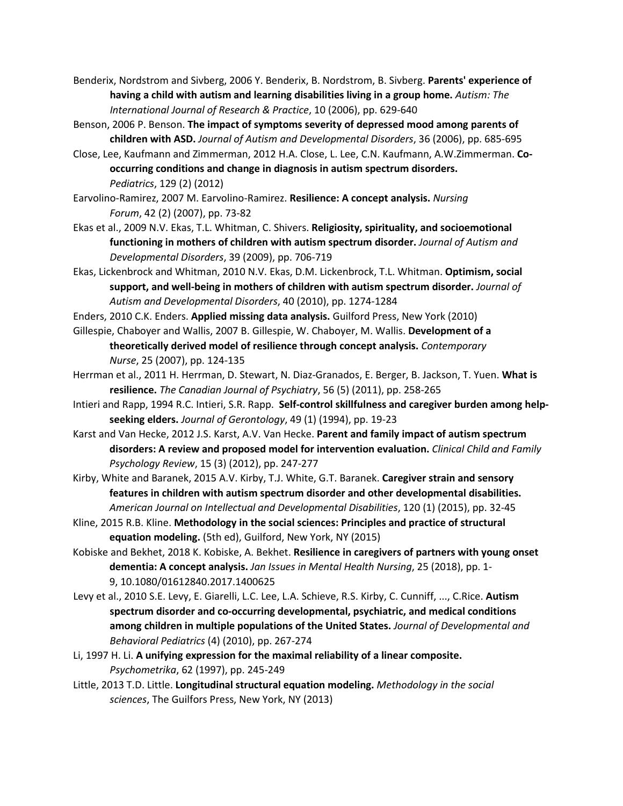- Benderix, Nordstrom and Sivberg, 2006 Y. Benderix, B. Nordstrom, B. Sivberg. **Parents' experience of having a child with autism and learning disabilities living in a group home.** *Autism: The International Journal of Research & Practice*, 10 (2006), pp. 629-640
- Benson, 2006 P. Benson. **The impact of symptoms severity of depressed mood among parents of children with ASD.** *Journal of Autism and Developmental Disorders*, 36 (2006), pp. 685-695
- Close, Lee, Kaufmann and Zimmerman, 2012 H.A. Close, L. Lee, C.N. Kaufmann, A.W.Zimmerman. **Cooccurring conditions and change in diagnosis in autism spectrum disorders.**  *Pediatrics*, 129 (2) (2012)
- Earvolino-Ramirez, 2007 M. Earvolino-Ramirez. **Resilience: A concept analysis.** *Nursing Forum*, 42 (2) (2007), pp. 73-82
- Ekas et al., 2009 N.V. Ekas, T.L. Whitman, C. Shivers. **Religiosity, spirituality, and socioemotional functioning in mothers of children with autism spectrum disorder.** *Journal of Autism and Developmental Disorders*, 39 (2009), pp. 706-719
- Ekas, Lickenbrock and Whitman, 2010 N.V. Ekas, D.M. Lickenbrock, T.L. Whitman. **Optimism, social support, and well-being in mothers of children with autism spectrum disorder.** *Journal of Autism and Developmental Disorders*, 40 (2010), pp. 1274-1284
- Enders, 2010 C.K. Enders. **Applied missing data analysis.** Guilford Press, New York (2010)
- Gillespie, Chaboyer and Wallis, 2007 B. Gillespie, W. Chaboyer, M. Wallis. **Development of a theoretically derived model of resilience through concept analysis.** *Contemporary Nurse*, 25 (2007), pp. 124-135
- Herrman et al., 2011 H. Herrman, D. Stewart, N. Diaz-Granados, E. Berger, B. Jackson, T. Yuen. **What is resilience.** *The Canadian Journal of Psychiatry*, 56 (5) (2011), pp. 258-265
- Intieri and Rapp, 1994 R.C. Intieri, S.R. Rapp. **Self-control skillfulness and caregiver burden among helpseeking elders.** *Journal of Gerontology*, 49 (1) (1994), pp. 19-23
- Karst and Van Hecke, 2012 J.S. Karst, A.V. Van Hecke. **Parent and family impact of autism spectrum disorders: A review and proposed model for intervention evaluation.** *Clinical Child and Family Psychology Review*, 15 (3) (2012), pp. 247-277
- Kirby, White and Baranek, 2015 A.V. Kirby, T.J. White, G.T. Baranek. **Caregiver strain and sensory features in children with autism spectrum disorder and other developmental disabilities.**  *American Journal on Intellectual and Developmental Disabilities*, 120 (1) (2015), pp. 32-45
- Kline, 2015 R.B. Kline. **Methodology in the social sciences: Principles and practice of structural equation modeling.** (5th ed), Guilford, New York, NY (2015)
- Kobiske and Bekhet, 2018 K. Kobiske, A. Bekhet. **Resilience in caregivers of partners with young onset dementia: A concept analysis.** *Jan Issues in Mental Health Nursing*, 25 (2018), pp. 1- 9, 10.1080/01612840.2017.1400625
- Levy et al., 2010 S.E. Levy, E. Giarelli, L.C. Lee, L.A. Schieve, R.S. Kirby, C. Cunniff, ..., C.Rice. **Autism spectrum disorder and co-occurring developmental, psychiatric, and medical conditions among children in multiple populations of the United States.** *Journal of Developmental and Behavioral Pediatrics* (4) (2010), pp. 267-274
- Li, 1997 H. Li. **A unifying expression for the maximal reliability of a linear composite.**  *Psychometrika*, 62 (1997), pp. 245-249
- Little, 2013 T.D. Little. **Longitudinal structural equation modeling.** *Methodology in the social sciences*, The Guilfors Press, New York, NY (2013)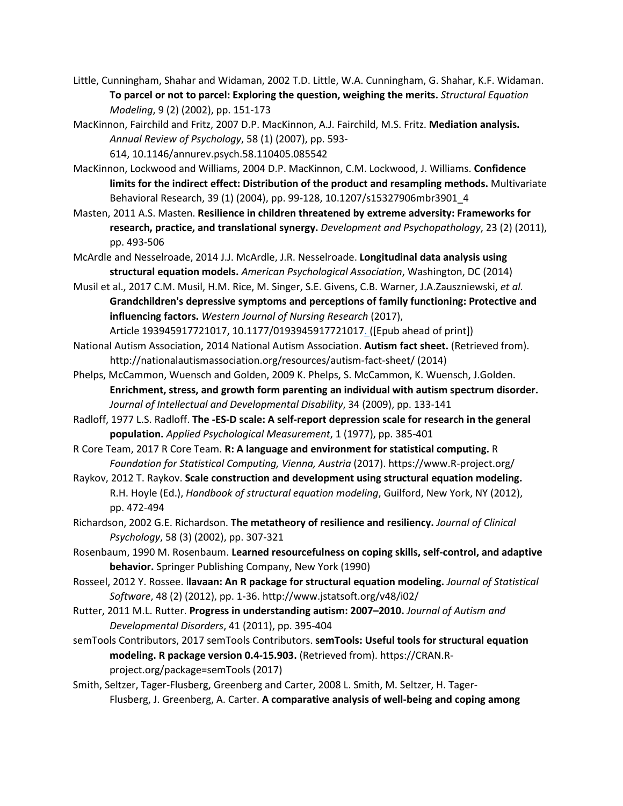- Little, Cunningham, Shahar and Widaman, 2002 T.D. Little, W.A. Cunningham, G. Shahar, K.F. Widaman. **To parcel or not to parcel: Exploring the question, weighing the merits.** *Structural Equation Modeling*, 9 (2) (2002), pp. 151-173
- MacKinnon, Fairchild and Fritz, 2007 D.P. MacKinnon, A.J. Fairchild, M.S. Fritz. **Mediation analysis.**  *Annual Review of Psychology*, 58 (1) (2007), pp. 593-
- 614, 10.1146/annurev.psych.58.110405.085542 MacKinnon, Lockwood and Williams, 2004 D.P. MacKinnon, C.M. Lockwood, J. Williams. **Confidence limits for the indirect effect: Distribution of the product and resampling methods.** Multivariate
	- Behavioral Research, 39 (1) (2004), pp. 99-128, 10.1207/s15327906mbr3901\_4
- Masten, 2011 A.S. Masten. **Resilience in children threatened by extreme adversity: Frameworks for research, practice, and translational synergy.** *Development and Psychopathology*, 23 (2) (2011), pp. 493-506
- McArdle and Nesselroade, 2014 J.J. McArdle, J.R. Nesselroade. **Longitudinal data analysis using structural equation models.** *American Psychological Association*, Washington, DC (2014)
- Musil et al., 2017 C.M. Musil, H.M. Rice, M. Singer, S.E. Givens, C.B. Warner, J.A.Zauszniewski, *et al.* **Grandchildren's depressive symptoms and perceptions of family functioning: Protective and influencing factors.** *Western Journal of Nursing Research* (2017), Article 193945917721017, 10.1177/0193945917721017. ([Epub ahead of print])
- National Autism Association, 2014 National Autism Association. **Autism fact sheet.** (Retrieved from). http://nationalautismassociation.org/resources/autism-fact-sheet/ (2014)
- Phelps, McCammon, Wuensch and Golden, 2009 K. Phelps, S. McCammon, K. Wuensch, J.Golden. **Enrichment, stress, and growth form parenting an individual with autism spectrum disorder.**  *Journal of Intellectual and Developmental Disability*, 34 (2009), pp. 133-141
- Radloff, 1977 L.S. Radloff. **The -ES-D scale: A self-report depression scale for research in the general population.** *Applied Psychological Measurement*, 1 (1977), pp. 385-401
- R Core Team, 2017 R Core Team. **R: A language and environment for statistical computing.** R *Foundation for Statistical Computing, Vienna, Austria* (2017). https://www.R-project.org/
- Raykov, 2012 T. Raykov. **Scale construction and development using structural equation modeling.**  R.H. Hoyle (Ed.), *Handbook of structural equation modeling*, Guilford, New York, NY (2012), pp. 472-494
- Richardson, 2002 G.E. Richardson. **The metatheory of resilience and resiliency.** *Journal of Clinical Psychology*, 58 (3) (2002), pp. 307-321
- Rosenbaum, 1990 M. Rosenbaum. **Learned resourcefulness on coping skills, self-control, and adaptive behavior.** Springer Publishing Company, New York (1990)
- Rosseel, 2012 Y. Rossee. l**lavaan: An R package for structural equation modeling.** *Journal of Statistical Software*, 48 (2) (2012), pp. 1-36. http://www.jstatsoft.org/v48/i02/
- Rutter, 2011 M.L. Rutter. **Progress in understanding autism: 2007–2010.** *Journal of Autism and Developmental Disorders*, 41 (2011), pp. 395-404
- semTools Contributors, 2017 semTools Contributors. **semTools: Useful tools for structural equation modeling. R package version 0.4-15.903.** (Retrieved from). https://CRAN.Rproject.org/package=semTools (2017)
- Smith, Seltzer, Tager-Flusberg, Greenberg and Carter, 2008 L. Smith, M. Seltzer, H. Tager-Flusberg, J. Greenberg, A. Carter. **A comparative analysis of well-being and coping among**